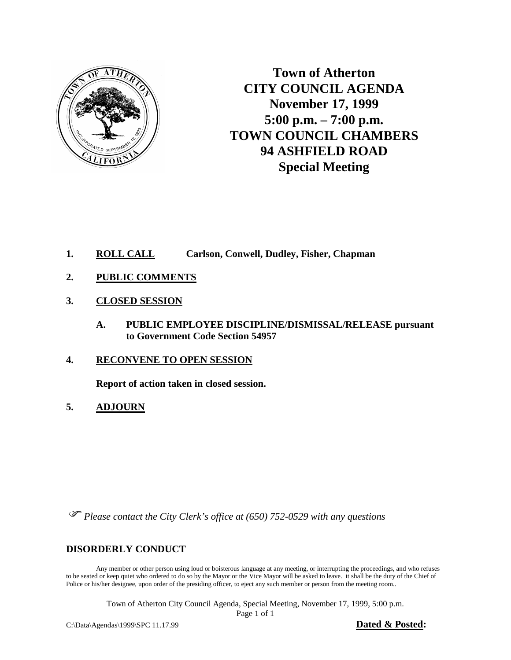

**Town of Atherton CITY COUNCIL AGENDA November 17, 1999 5:00 p.m. – 7:00 p.m. TOWN COUNCIL CHAMBERS 94 ASHFIELD ROAD Special Meeting**

- **1. ROLL CALL Carlson, Conwell, Dudley, Fisher, Chapman**
- **2. PUBLIC COMMENTS**
- **3. CLOSED SESSION**
	- **A. PUBLIC EMPLOYEE DISCIPLINE/DISMISSAL/RELEASE pursuant to Government Code Section 54957**
- **4. RECONVENE TO OPEN SESSION**

 **Report of action taken in closed session.**

**5. ADJOURN**

*Please contact the City Clerk's office at (650) 752-0529 with any questions*

#### **DISORDERLY CONDUCT**

Any member or other person using loud or boisterous language at any meeting, or interrupting the proceedings, and who refuses to be seated or keep quiet who ordered to do so by the Mayor or the Vice Mayor will be asked to leave. it shall be the duty of the Chief of Police or his/her designee, upon order of the presiding officer, to eject any such member or person from the meeting room..

Town of Atherton City Council Agenda, Special Meeting, November 17, 1999, 5:00 p.m.

Page 1 of 1

C:\Data\Agendas\1999\SPC 11.17.99 **Dated & Posted:**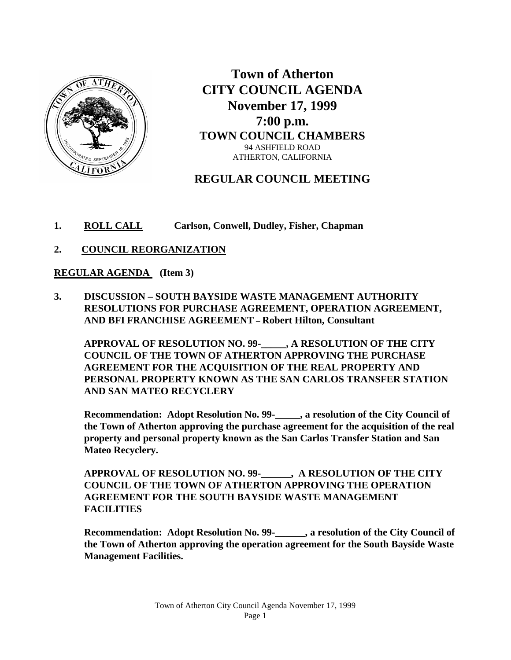

**Town of Atherton CITY COUNCIL AGENDA November 17, 1999 7:00 p.m. TOWN COUNCIL CHAMBERS** 94 ASHFIELD ROAD ATHERTON, CALIFORNIA

# **REGULAR COUNCIL MEETING**

- **1. ROLL CALL Carlson, Conwell, Dudley, Fisher, Chapman**
- **2. COUNCIL REORGANIZATION**

#### **REGULAR AGENDA (Item 3)**

**3. DISCUSSION – SOUTH BAYSIDE WASTE MANAGEMENT AUTHORITY RESOLUTIONS FOR PURCHASE AGREEMENT, OPERATION AGREEMENT, AND BFI FRANCHISE AGREEMENT** – **Robert Hilton, Consultant**

**APPROVAL OF RESOLUTION NO. 99-\_\_\_\_\_, A RESOLUTION OF THE CITY COUNCIL OF THE TOWN OF ATHERTON APPROVING THE PURCHASE AGREEMENT FOR THE ACQUISITION OF THE REAL PROPERTY AND PERSONAL PROPERTY KNOWN AS THE SAN CARLOS TRANSFER STATION AND SAN MATEO RECYCLERY**

**Recommendation: Adopt Resolution No. 99-\_\_\_\_\_, a resolution of the City Council of the Town of Atherton approving the purchase agreement for the acquisition of the real property and personal property known as the San Carlos Transfer Station and San Mateo Recyclery.**

 **APPROVAL OF RESOLUTION NO. 99-\_\_\_\_\_\_, A RESOLUTION OF THE CITY COUNCIL OF THE TOWN OF ATHERTON APPROVING THE OPERATION AGREEMENT FOR THE SOUTH BAYSIDE WASTE MANAGEMENT FACILITIES**

**Recommendation: Adopt Resolution No. 99-\_\_\_\_\_\_, a resolution of the City Council of the Town of Atherton approving the operation agreement for the South Bayside Waste Management Facilities.**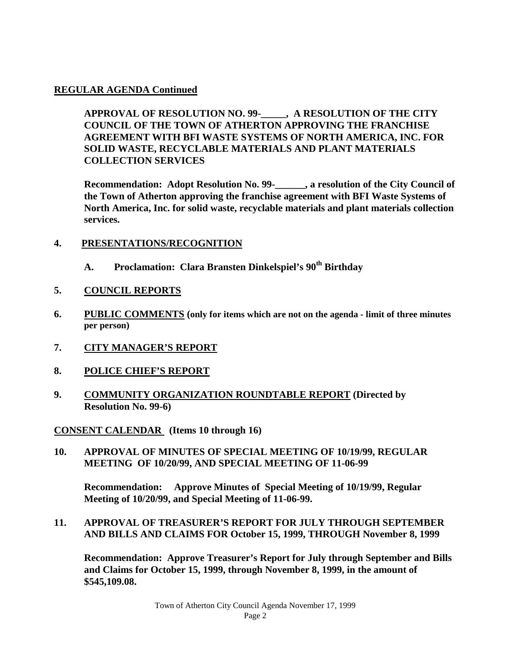### **REGULAR AGENDA Continued**

**APPROVAL OF RESOLUTION NO. 99-\_\_\_\_\_, A RESOLUTION OF THE CITY COUNCIL OF THE TOWN OF ATHERTON APPROVING THE FRANCHISE AGREEMENT WITH BFI WASTE SYSTEMS OF NORTH AMERICA, INC. FOR SOLID WASTE, RECYCLABLE MATERIALS AND PLANT MATERIALS COLLECTION SERVICES**

**Recommendation: Adopt Resolution No. 99-\_\_\_\_\_\_, a resolution of the City Council of the Town of Atherton approving the franchise agreement with BFI Waste Systems of North America, Inc. for solid waste, recyclable materials and plant materials collection services.**

### **4. PRESENTATIONS/RECOGNITION**

**A. Proclamation: Clara Bransten Dinkelspiel's 90th Birthday**

### **5. COUNCIL REPORTS**

- **6. PUBLIC COMMENTS (only for items which are not on the agenda - limit of three minutes per person)**
- **7. CITY MANAGER'S REPORT**
- **8. POLICE CHIEF'S REPORT**
- **9. COMMUNITY ORGANIZATION ROUNDTABLE REPORT (Directed by Resolution No. 99-6)**

**CONSENT CALENDAR (Items 10 through 16)**

**10. APPROVAL OF MINUTES OF SPECIAL MEETING OF 10/19/99, REGULAR MEETING OF 10/20/99, AND SPECIAL MEETING OF 11-06-99**

**Recommendation: Approve Minutes of Special Meeting of 10/19/99, Regular Meeting of 10/20/99, and Special Meeting of 11-06-99.**

**11. APPROVAL OF TREASURER'S REPORT FOR JULY THROUGH SEPTEMBER AND BILLS AND CLAIMS FOR October 15, 1999, THROUGH November 8, 1999**

**Recommendation: Approve Treasurer's Report for July through September and Bills and Claims for October 15, 1999, through November 8, 1999, in the amount of \$545,109.08.**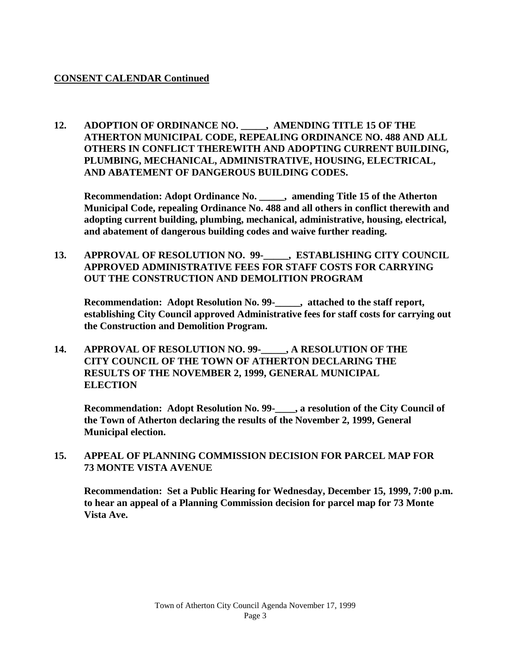### **CONSENT CALENDAR Continued**

**12. ADOPTION OF ORDINANCE NO. \_\_\_\_\_, AMENDING TITLE 15 OF THE ATHERTON MUNICIPAL CODE, REPEALING ORDINANCE NO. 488 AND ALL OTHERS IN CONFLICT THEREWITH AND ADOPTING CURRENT BUILDING, PLUMBING, MECHANICAL, ADMINISTRATIVE, HOUSING, ELECTRICAL, AND ABATEMENT OF DANGEROUS BUILDING CODES.**

**Recommendation: Adopt Ordinance No. \_\_\_\_\_, amending Title 15 of the Atherton Municipal Code, repealing Ordinance No. 488 and all others in conflict therewith and adopting current building, plumbing, mechanical, administrative, housing, electrical, and abatement of dangerous building codes and waive further reading.**

**13. APPROVAL OF RESOLUTION NO. 99-\_\_\_\_\_, ESTABLISHING CITY COUNCIL APPROVED ADMINISTRATIVE FEES FOR STAFF COSTS FOR CARRYING OUT THE CONSTRUCTION AND DEMOLITION PROGRAM**

**Recommendation: Adopt Resolution No. 99-\_\_\_\_\_, attached to the staff report, establishing City Council approved Administrative fees for staff costs for carrying out the Construction and Demolition Program.** 

**14. APPROVAL OF RESOLUTION NO. 99-\_\_\_\_\_, A RESOLUTION OF THE CITY COUNCIL OF THE TOWN OF ATHERTON DECLARING THE RESULTS OF THE NOVEMBER 2, 1999, GENERAL MUNICIPAL ELECTION**

**Recommendation: Adopt Resolution No. 99-\_\_\_\_, a resolution of the City Council of the Town of Atherton declaring the results of the November 2, 1999, General Municipal election.**

**15. APPEAL OF PLANNING COMMISSION DECISION FOR PARCEL MAP FOR 73 MONTE VISTA AVENUE**

**Recommendation: Set a Public Hearing for Wednesday, December 15, 1999, 7:00 p.m. to hear an appeal of a Planning Commission decision for parcel map for 73 Monte Vista Ave.**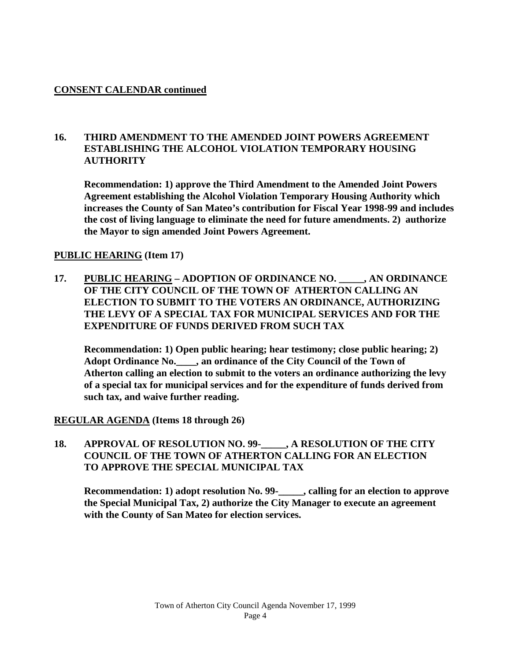### **CONSENT CALENDAR continued**

### **16. THIRD AMENDMENT TO THE AMENDED JOINT POWERS AGREEMENT ESTABLISHING THE ALCOHOL VIOLATION TEMPORARY HOUSING AUTHORITY**

**Recommendation: 1) approve the Third Amendment to the Amended Joint Powers Agreement establishing the Alcohol Violation Temporary Housing Authority which increases the County of San Mateo's contribution for Fiscal Year 1998-99 and includes the cost of living language to eliminate the need for future amendments. 2) authorize the Mayor to sign amended Joint Powers Agreement.**

## **PUBLIC HEARING (Item 17)**

**17. PUBLIC HEARING – ADOPTION OF ORDINANCE NO. \_\_\_\_\_, AN ORDINANCE OF THE CITY COUNCIL OF THE TOWN OF ATHERTON CALLING AN ELECTION TO SUBMIT TO THE VOTERS AN ORDINANCE, AUTHORIZING THE LEVY OF A SPECIAL TAX FOR MUNICIPAL SERVICES AND FOR THE EXPENDITURE OF FUNDS DERIVED FROM SUCH TAX**

**Recommendation: 1) Open public hearing; hear testimony; close public hearing; 2) Adopt Ordinance No.\_\_\_\_, an ordinance of the City Council of the Town of Atherton calling an election to submit to the voters an ordinance authorizing the levy of a special tax for municipal services and for the expenditure of funds derived from such tax, and waive further reading.**

### **REGULAR AGENDA (Items 18 through 26)**

#### **18. APPROVAL OF RESOLUTION NO. 99-\_\_\_\_\_, A RESOLUTION OF THE CITY COUNCIL OF THE TOWN OF ATHERTON CALLING FOR AN ELECTION TO APPROVE THE SPECIAL MUNICIPAL TAX**

**Recommendation: 1) adopt resolution No. 99-\_\_\_\_\_, calling for an election to approve the Special Municipal Tax, 2) authorize the City Manager to execute an agreement with the County of San Mateo for election services.**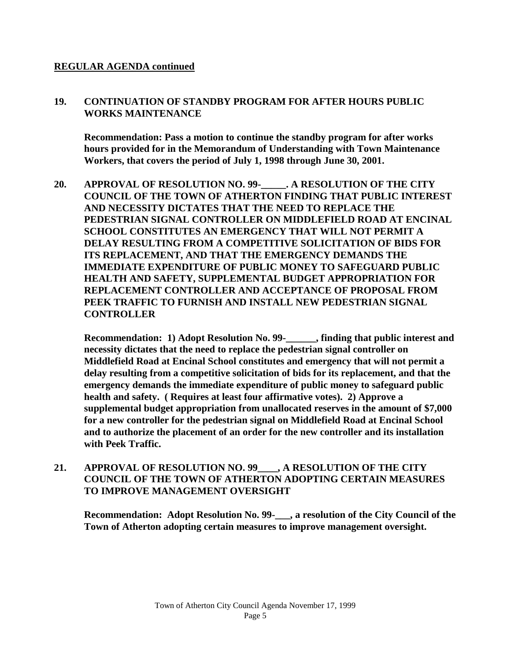#### **REGULAR AGENDA continued**

#### **19. CONTINUATION OF STANDBY PROGRAM FOR AFTER HOURS PUBLIC WORKS MAINTENANCE**

**Recommendation: Pass a motion to continue the standby program for after works hours provided for in the Memorandum of Understanding with Town Maintenance Workers, that covers the period of July 1, 1998 through June 30, 2001.**

**20. APPROVAL OF RESOLUTION NO. 99-\_\_\_\_\_. A RESOLUTION OF THE CITY COUNCIL OF THE TOWN OF ATHERTON FINDING THAT PUBLIC INTEREST AND NECESSITY DICTATES THAT THE NEED TO REPLACE THE PEDESTRIAN SIGNAL CONTROLLER ON MIDDLEFIELD ROAD AT ENCINAL SCHOOL CONSTITUTES AN EMERGENCY THAT WILL NOT PERMIT A DELAY RESULTING FROM A COMPETITIVE SOLICITATION OF BIDS FOR ITS REPLACEMENT, AND THAT THE EMERGENCY DEMANDS THE IMMEDIATE EXPENDITURE OF PUBLIC MONEY TO SAFEGUARD PUBLIC HEALTH AND SAFETY, SUPPLEMENTAL BUDGET APPROPRIATION FOR REPLACEMENT CONTROLLER AND ACCEPTANCE OF PROPOSAL FROM PEEK TRAFFIC TO FURNISH AND INSTALL NEW PEDESTRIAN SIGNAL CONTROLLER**

**Recommendation: 1) Adopt Resolution No. 99-\_\_\_\_\_\_, finding that public interest and necessity dictates that the need to replace the pedestrian signal controller on Middlefield Road at Encinal School constitutes and emergency that will not permit a delay resulting from a competitive solicitation of bids for its replacement, and that the emergency demands the immediate expenditure of public money to safeguard public health and safety. ( Requires at least four affirmative votes). 2) Approve a supplemental budget appropriation from unallocated reserves in the amount of \$7,000 for a new controller for the pedestrian signal on Middlefield Road at Encinal School and to authorize the placement of an order for the new controller and its installation with Peek Traffic.**

**21. APPROVAL OF RESOLUTION NO. 99\_\_\_\_, A RESOLUTION OF THE CITY COUNCIL OF THE TOWN OF ATHERTON ADOPTING CERTAIN MEASURES TO IMPROVE MANAGEMENT OVERSIGHT**

**Recommendation: Adopt Resolution No. 99-\_\_\_, a resolution of the City Council of the Town of Atherton adopting certain measures to improve management oversight.**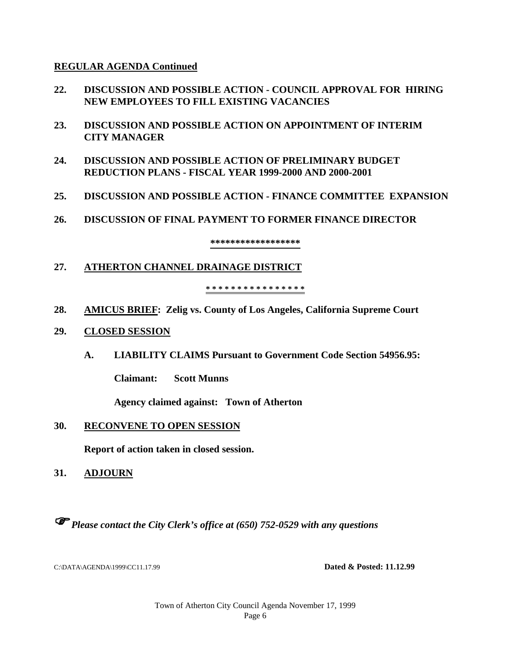#### **REGULAR AGENDA Continued**

- **22. DISCUSSION AND POSSIBLE ACTION - COUNCIL APPROVAL FOR HIRING NEW EMPLOYEES TO FILL EXISTING VACANCIES**
- **23. DISCUSSION AND POSSIBLE ACTION ON APPOINTMENT OF INTERIM CITY MANAGER**
- **24. DISCUSSION AND POSSIBLE ACTION OF PRELIMINARY BUDGET REDUCTION PLANS - FISCAL YEAR 1999-2000 AND 2000-2001**
- **25. DISCUSSION AND POSSIBLE ACTION - FINANCE COMMITTEE EXPANSION**
- **26. DISCUSSION OF FINAL PAYMENT TO FORMER FINANCE DIRECTOR**

**\*\*\*\*\*\*\*\*\*\*\*\*\*\*\*\*\*\***

### **27. ATHERTON CHANNEL DRAINAGE DISTRICT**

#### **\* \* \* \* \* \* \* \* \* \* \* \* \* \* \* \***

**28. AMICUS BRIEF: Zelig vs. County of Los Angeles, California Supreme Court**

#### **29. CLOSED SESSION**

**A. LIABILITY CLAIMS Pursuant to Government Code Section 54956.95:**

**Claimant: Scott Munns**

**Agency claimed against: Town of Atherton**

### **30. RECONVENE TO OPEN SESSION**

**Report of action taken in closed session.**

**31. ADJOURN**

*Please contact the City Clerk's office at (650) 752-0529 with any questions*

C:\DATA\AGENDA\1999\CC11.17.99 **Dated & Posted: 11.12.99**